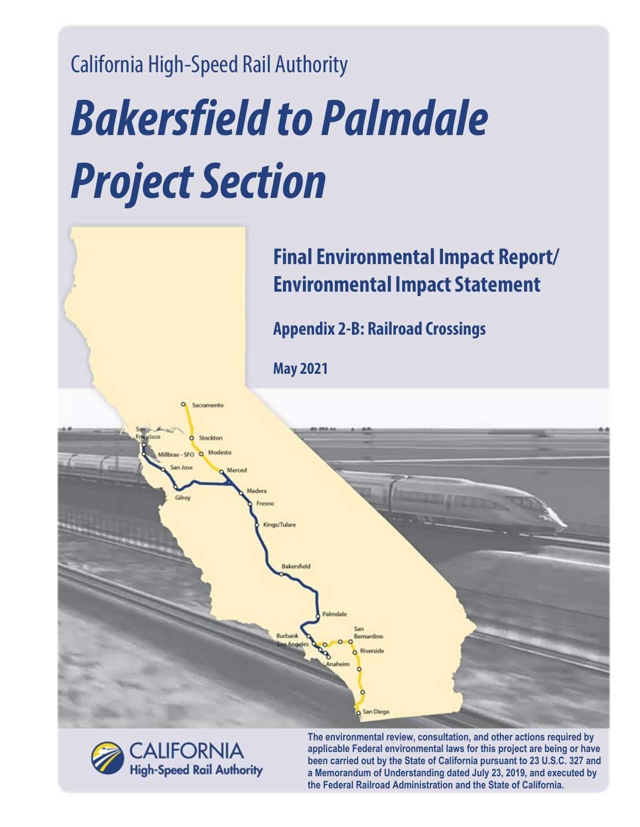## California High-Speed Rail Authority

O Sacramento

Stocktor

# *Bakersfield to Palmdale Project Section*

### **Final Environmental Impact Report/ Environmental Impact Statement**

**Appendix 2-B: Railroad Crossings**

**May 2021** 

Kings/Tular

Bakersfield

San Bernardino Riverside

San Diego



**The environmental review, consultation, and other actions required by applicable Federal environmental laws for this project are being or have been carried out by the State of California pursuant to 23 U.S.C. 327 and a Memorandum of Understanding dated July 23, 2019, and executed by the Federal Railroad Administration and the State of California.**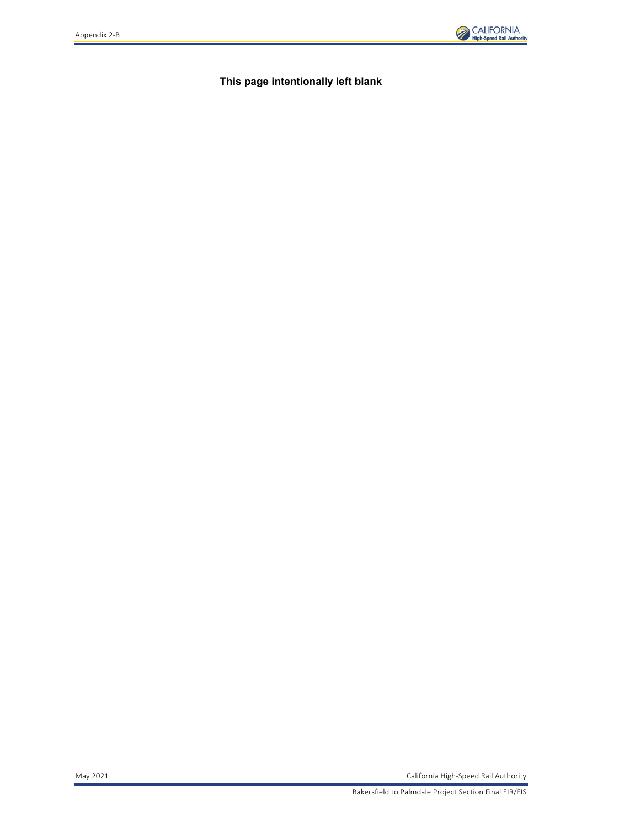

**This page intentionally left blank**

May 2021 California High-Speed Rail Authority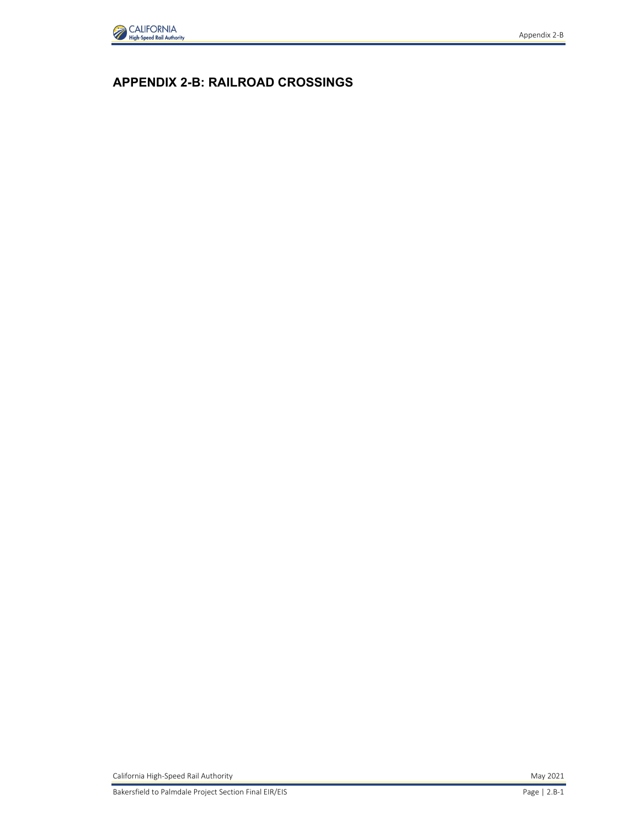

#### **APPENDIX 2-B: RAILROAD CROSSINGS**

California High-Speed Rail Authority **May 2021**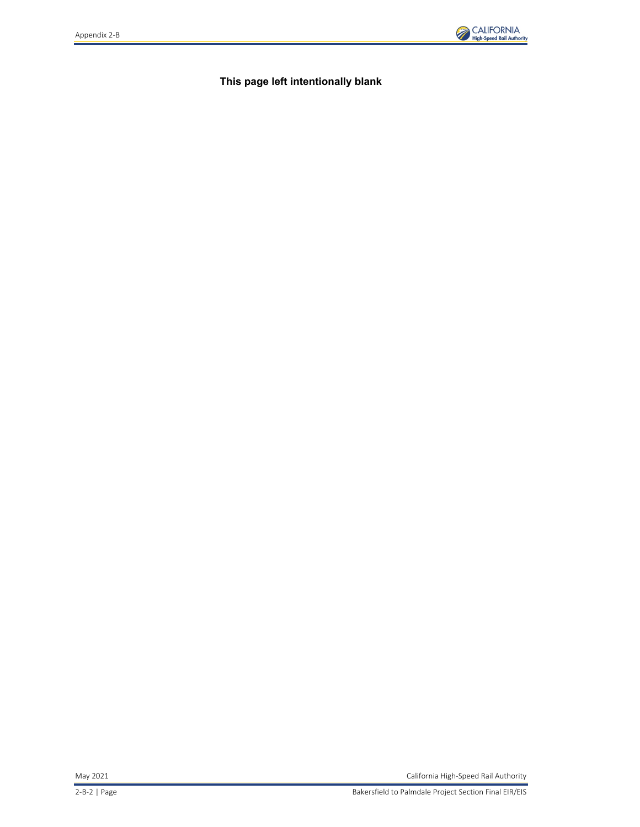

**This page left intentionally blank**

May 2021 California High-Speed Rail Authority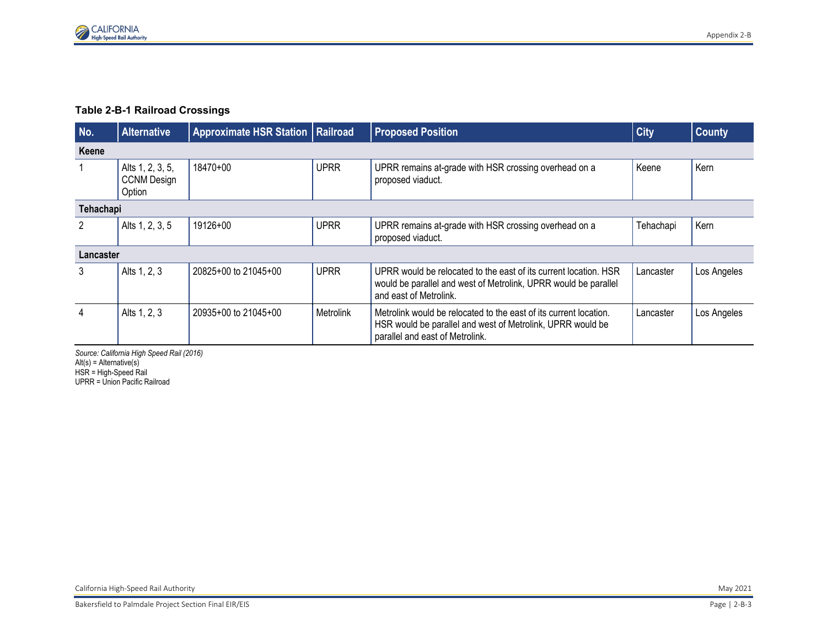#### **Table 2-B-1 Railroad Crossings**

| No.            | <b>Alternative</b>                               | <b>Approximate HSR Station   Railroad</b> |             | <b>Proposed Position</b>                                                                                                                                           | <b>City</b> | <b>County</b> |
|----------------|--------------------------------------------------|-------------------------------------------|-------------|--------------------------------------------------------------------------------------------------------------------------------------------------------------------|-------------|---------------|
| Keene          |                                                  |                                           |             |                                                                                                                                                                    |             |               |
| 1              | Alts 1, 2, 3, 5,<br><b>CCNM Design</b><br>Option | $18470+00$                                | <b>UPRR</b> | UPRR remains at-grade with HSR crossing overhead on a<br>proposed viaduct.                                                                                         | Keene       | Kern          |
| Tehachapi      |                                                  |                                           |             |                                                                                                                                                                    |             |               |
| 2              | Alts 1, 2, 3, 5                                  | 19126+00                                  | <b>UPRR</b> | UPRR remains at-grade with HSR crossing overhead on a<br>proposed viaduct.                                                                                         | Tehachapi   | Kern          |
| Lancaster      |                                                  |                                           |             |                                                                                                                                                                    |             |               |
| 3              | Alts 1, 2, 3                                     | 20825+00 to 21045+00                      | <b>UPRR</b> | UPRR would be relocated to the east of its current location. HSR<br>would be parallel and west of Metrolink, UPRR would be parallel<br>and east of Metrolink.      | Lancaster   | Los Angeles   |
| $\overline{4}$ | Alts 1, 2, 3                                     | 20935+00 to 21045+00                      | Metrolink   | Metrolink would be relocated to the east of its current location.<br>HSR would be parallel and west of Metrolink, UPRR would be<br>parallel and east of Metrolink. | Lancaster   | Los Angeles   |

*Source: California High Speed Rail (2016)*

 $Alt(s) = Alternative(s)$ 

HSR = High-Speed Rail

UPRR = Union Pacific Railroad